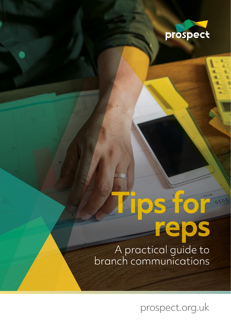

0202

# For eps A practical guide to<br>branch communications

prospect.org.uk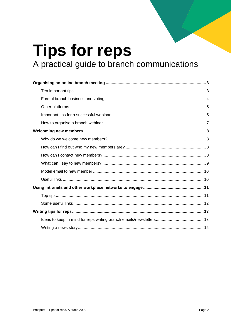# **Tips for reps** A practical guide to branch communications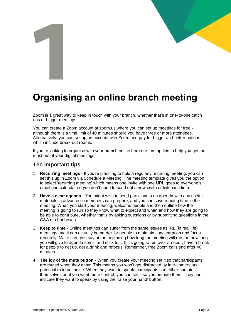# <span id="page-2-0"></span>**Organising an online branch meeting**

Zoom is a great way to keep in touch with your branch, whether that's in one-to-one catch ups or bigger meetings.

You can create a Zoom account at [zoom.us](https://zoom.us/) where you can set up meetings for free although there is a time limit of 40 minutes should you have three or more attendees. Alternatively, you can set up an account with Zoom and pay for bigger and better options which include break-out rooms.

If you're looking to organise with your branch online here are ten top tips to help you get the most out of your digital meetings.

## <span id="page-2-1"></span>**Ten important tips**

- 1. **Recurring meetings** If you're planning to hold a regularly recurring meeting, you can set this up in Zoom via Schedule a Meeting. The meeting template gives you the option to select 'recurring meeting' which means one invite with one URL goes to everyone's email and calendar so you don't need to send out a new invite or link each time.
- 2. **Have a clear agenda**  You might wish to send participants an agenda with any useful materials in advance so members can prepare, and you can save reading time in the meeting. When you start your meeting, welcome people and then outline how the meeting is going to run so they know what to expect and when and how they are going to be able to contribute, whether that's by asking questions or by submitting questions in the Q&A or chat boxes.
- 3. **Keep to time** Online meetings can suffer from the same issues as IRL (in real life) meetings and it can actually be harder for people to maintain concentration and focus remotely. Make sure you say at the beginning how long the meeting will run for, how long you will give to agenda items, and stick to it. If it's going to run over an hour, have a break for people to get up, get a drink and refocus. Remember, free Zoom calls end after 40 minutes.
- 4. **The joy of the mute button** When you create your meeting set it so that participants are muted when they enter. This means you won't get distracted by late-comers and potential external noise. When they want to speak, participants can either unmute themselves or, if you want more control, you can set it so you unmute them. They can indicate they want to speak by using the 'raise your hand' button.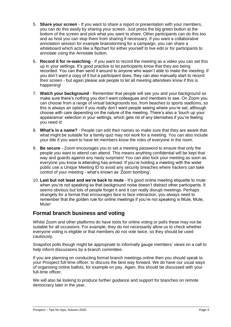- 5. **Share your screen** If you want to share a report or presentation with your members, you can do this easily by sharing your screen. Just press the big green button at the bottom of the screen and pick what you want to share. Other participants can do this too and as host you can stop them from sharing if necessary. If you want a collaborative annotation session for example brainstorming for a campaign, you can share a whiteboard which acts like a flipchart for either yourself to live edit or for participants to annotate using the Annotate button.
- 6. **Record it for re-watching** If you want to record the meeting as a video you can set this up in your settings. It's good practice to let participants know that they are being recorded. You can then send it around to anyone who wasn't able to make the meeting. If you don't want a copy of it but a participant does, they can also manually start to record their screen - but again please ask people to let all meeting attendees know if this is happening!
- 7. **Watch your background** Remember that people will see you and your background so make sure there's nothing you don't want colleagues and members to see. On Zoom you can choose from a range of virtual backgrounds too, from beaches to sports stadiums, so this is always an option if you really don't want people seeing where you're sat, although choose with care depending on the nature of the meeting. There's also a 'touch up your appearance' selection in your settings, which gets rid of any blemishes if you're feeling you need it!
- 8. **What's in a name?** People can edit their names so make sure that they are aware that what might be suitable for a family quiz may not work for a meeting. You can also include your title if you want to have let members know the roles of everyone in the room.
- 9. **Be secure** Zoom encourages you to set a meeting password to ensure that only the people you want to attend can attend. This means anything confidential will be kept that way and guards against any nasty surprises! You can also lock your meeting as soon as everyone you know is attending has arrived. If you're holding a meeting with the wider public use a Unique Meeting ID to avoid any security breaches where hackers can take control of your meeting - what's known as 'Zoom bombing'.
- 10. **Last but not least and we're back to mute** It's good online meeting etiquette to mute when you're not speaking so that background noise doesn't distract other participants. It seems obvious but lots of people forget it and it can really disrupt meetings. Perhaps strangely for a format that encourages face to face interaction, you always need to remember that the golden rule for online meetings if you're not speaking is Mute, Mute, Mute!

# <span id="page-3-0"></span>**Formal branch business and voting**

Whilst Zoom and other platforms do have tools for online voting or polls these may not be suitable for all occasions. For example, they do not necessarily allow us to check whether everyone voting is eligible or that members do not vote twice, so they should be used cautiously.

Snapshot polls though might be appropriate to informally gauge members' views on a call to help inform discussions by a branch committee.

If you are planning on conducting formal branch meetings online then you should speak to your Prospect full-time officer, to discuss the best way forward. We do have our usual ways of organising online ballots, for example on pay. Again, this should be discussed with your full-time officer.

We will also be looking to produce further guidance and support for branches on remote democracy later in the year.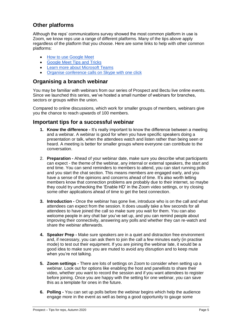# <span id="page-4-0"></span>**Other platforms**

Although the reps' communications survey showed the most common platform in use is Zoom, we know reps use a range of different platforms. Many of the tips above apply regardless of the platform that you choose. Here are some links to help with other common platforms:

- [How to use Google Meet](https://apps.google.com/meet/how-it-works/)
- [Google Meet Tips and Tricks](https://www.digitaltrends.com/computing/google-meet-tips-tricks/)
- [Learn more about Microsoft Teams](https://www.microsoft.com/en-gb/microsoft-365/microsoft-teams/free#:~:text=The%20free%20version%20of%20Teams%20includes%20the%20following%3A,per%20person%20for%20personal%20storage.)
- [Organise conference calls on Skype with one click](https://www.skype.com/en/free-conference-call/)

# **Organising a branch webinar**

You may be familiar with webinars from our series of Prospect and Bectu live online events. Since we launched this series, we've hosted a small number of webinars for branches, sectors or groups within the union.

Compared to online discussions, which work for smaller groups of members, webinars give you the chance to reach upwards of 100 members.

# <span id="page-4-1"></span>**Important tips for a successful webinar**

- **1. Know the difference -** It's really important to know the difference between a meeting and a webinar. A webinar is good for when you have specific speakers doing a presentation or talk, when the attendees watch and listen rather than being seen or heard. A meeting is better for smaller groups where everyone can contribute to the conversation.
- 2. **Preparation -** Ahead of your webinar date, make sure you describe what participants can expect - the theme of the webinar, any internal or external speakers, the start and end time. You can send reminders to members to attend, you can start running polls and you start the chat section. This means members are engaged early, and you have a sense of the opinions and concerns ahead of time. It's also worth letting members know that connection problems are probably due to their internet, so maybe they could try unchecking the 'Enable HD' in the Zoom video settings, or try closing some other applications ahead of time to get the best connection.
- **3. Introduction -** Once the webinar has gone live, introduce who is on the call and what attendees can expect from the session. It does usually take a few seconds for all attendees to have joined the call so make sure you wait for them. You can also welcome people in any chat bar you've set up, and you can remind people about improving their connectivity, answering any polls and whether they can re-watch and share the webinar afterwards.
- **4. Speaker Prep -** Make sure speakers are in a quiet and distraction free environment and, if necessary, you can ask them to join the call a few minutes early (in practise mode) to test out their equipment. If you are joining the webinar late, it would be a good idea to make sure you are muted to avoid any disruption and to keep mute when you're not talking.
- **5. Zoom settings -** There are lots of settings on Zoom to consider when setting up a webinar. Look out for options like enabling the host and panellists to share their video, whether you want to record the session and if you want attendees to register before joining. Once you are happy with the setting for one webinar, you can save this as a template for ones in the future.
- **6. Polling -** You can set up polls before the webinar begins which help the audience engage more in the event as well as being a good opportunity to gauge some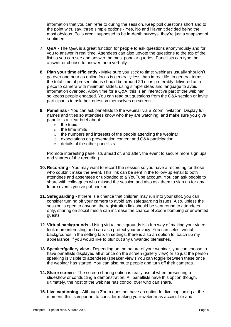information that you can refer to during the session. Keep poll questions short and to the point with, say, three simple options - Yes, No and Haven't decided being the most obvious. Polls aren't supposed to be in-depth surveys, they're just a snapshot of sentiment.

- **7. Q&A -** The Q&A is a great function for people to ask questions anonymously and for you to answer in real time. Attendees can also upvote the questions to the top of the list so you can see and answer the most popular queries. Panellists can type the answer or choose to answer them verbally.
- **8. Plan your time efficiently -** Make sure you stick to time; webinars usually shouldn't go over one hour as online focus is generally less than in real life. In general terms, the total time of presentations should be around 20 mins preferably delivered as a piece to camera with minimum slides, using simple ideas and language to avoid information overload. Allow time for a Q&A, this is an interactive part of the webinar so keeps people engaged. You can read out questions from the Q&A section or invite participants to ask their question themselves on screen.
- **9. Panellists -** You can ask panellists to the webinar via a Zoom invitation. Display full names and titles so attendees know who they are watching, and make sure you give panellists a clear brief about:
	- $\circ$  the topic
	- o the time limits
	- o the numbers and interests of the people attending the webinar
	- o expectations on presentation content and Q&A participation
	- o details of the other panellists

Promote interesting panellists ahead of, and after, the event to secure more sign ups and shares of the recording.

- **10. Recording -** You may want to record the session so you have a recording for those who couldn't make the event. This link can be sent in the follow-up email to both attendees and absentees or uploaded to a YouTube account. You can ask people to share with colleagues who missed the session and also ask them to sign up for any future events you've got booked.
- **11. Safeguarding -** If there is a chance that children may run into your shot, you can consider turning off your camera to avoid any safeguarding issues. Also, unless the session is open to anyone, the registration link should be sent round to attendees only, sharing on social media can increase the chance of Zoom bombing or unwanted guests.
- **12. Virtual backgrounds -** Using virtual backgrounds is a fun way of making your video look more interesting and can also protect your privacy. You can select virtual backgrounds in the setting tab. In settings, there is also an option to 'touch up my appearance' if you would like to blur out any unwanted blemishes.
- **13. Speaker/gallery view -** Depending on the nature of your webinar, you can choose to have panellists displayed all at once on the screen (gallery view) or so just the person speaking is visible to attendees (speaker view.) You can toggle between these once the webinar has started. You can also mute people and turn off their cameras.
- **14. Share screen -** The screen sharing option is really useful when presenting a slideshow or conducting a demonstration. All panellists have this option though, ultimately, the host of the webinar has control over who can share.
- **15. Live captioning -** Although Zoom does not have an option for live captioning at the moment, this is important to consider making your webinar as accessible and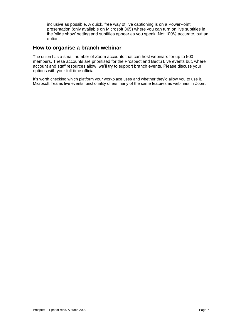inclusive as possible. A quick, free way of live captioning is on a PowerPoint presentation (only available on Microsoft 365) where you can turn on live subtitles in the 'slide show' setting and subtitles appear as you speak. Not 100% accurate, but an option.

# <span id="page-6-0"></span>**How to organise a branch webinar**

The union has a small number of Zoom accounts that can host webinars for up to 500 members. These accounts are prioritised for the Prospect and Bectu Live events but, where account and staff resources allow, we'll try to support branch events. Please discuss your options with your full-time official.

It's worth checking which platform your workplace uses and whether they'd allow you to use it. Microsoft Teams live events functionality offers many of the same features as webinars in Zoom.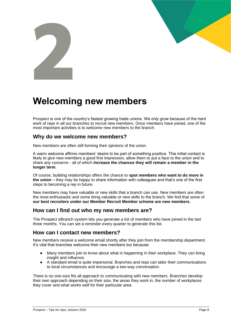



# <span id="page-7-0"></span>**Welcoming new members**

Prospect is one of the country's fastest growing trade unions. We only grow because of the hard work of reps in all our branches to recruit new members. Once members have joined, one of the most important activities is to welcome new members to the branch.

# <span id="page-7-1"></span>**Why do we welcome new members?**

New members are often still forming their opinions of the union.

A warm welcome affirms members' desire to be part of something positive. This initial contact is likely to give new members a good first impression, allow them to put a face to the union and to share any concerns - all of which **increase the chances they will remain a member in the longer term**.

Of course, building relationships offers the chance to **spot members who want to do more in the union** – they may be happy to share information with colleagues and that's one of the first steps to becoming a rep in future.

New members may have valuable or new skills that a branch can use. New members are often the most enthusiastic and some bring valuable or new skills to the branch. We find that some of **our best recruiters under our Member Recruit Member scheme are new members.**

## <span id="page-7-2"></span>**How can I find out who my new members are?**

The Prospect eBranch system lets you generate a list of members who have joined in the last three months. You can set a reminder every quarter to generate this list.

## <span id="page-7-3"></span>**How can I contact new members?**

New members receive a welcome email shortly after they join from the membership department. It's vital that branches welcome their new members too because:

- Many members join to know about what is happening in their workplace. They can bring insight and influence.
- A standard email is quite impersonal. Branches and reps can tailor their communications to local circumstances and encourage a two-way conversation.

There is no one-size fits all approach to communicating with new members. Branches develop their own approach depending on their size, the areas they work in, the number of workplaces they cover and what works well for their particular area.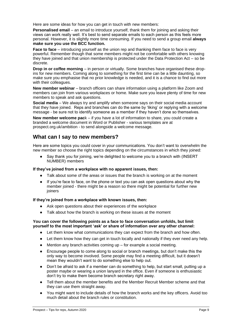Here are some ideas for how you can get in touch with new members:

**Personalised email** – an email to introduce yourself, thank them for joining and asking their views can work really well. It's best to send separate emails to each person as this feels more personal. However, it is slightly more time consuming. If you need to send a group email **always make sure you use the BCC function.**

**Face to face** – introducing yourself as the union rep and thanking them face to face is very powerful. Remember though that some members might not be comfortable with others knowing they have joined and that union membership is protected under the Data Protection Act – so be discrete.

**Drop in or coffee morning** – in person or virtually. Some branches have organised these dropins for new members. Coming along to something for the first time can be a little daunting, so make sure you emphasise that no prior knowledge is needed, and it is a chance to find out more with their colleagues.

**New member webinar** – branch officers can share information using a platform like Zoom and members can join from various workplaces or home. Make sure you leave plenty of time for new members to speak and ask questions.

**Social media** – We always try and amplify when someone says on their social media account that they have joined. Reps and branches can do the same by 'liking' or replying with a welcome message - be sure not to identify someone as a member if they haven't done so themselves.

**New member welcome pac**k – if you have a lot of information to share, you could create a branded a welcome document in Word or Publisher - various templates are at prospect.org.uk/ambition - to send alongside a welcome message.

# <span id="page-8-0"></span>**What can I say to new members?**

Here are some topics you could cover in your communications. You don't want to overwhelm the new member so choose the right topics depending on the circumstances in which they joined:

Say thank you for joining, we're delighted to welcome you to a branch with (INSERT NUMBER) members

#### **If they've joined from a workplace with no apparent issues, then:**

- Talk about some of the areas or issues that the branch is working on at the moment
- If you're face to face, on the phone or text you can ask open questions about why the member joined - there might be a reason so there might be potential for further new joiners

#### **If they're joined from a workplace with known issues, then:**

- Ask open questions about their experiences of the workplace
- Talk about how the branch is working on these issues at the moment

#### **You can cover the following points as a face to face conversation unfolds, but limit yourself to the most important 'ask' or share of information over any other channel:**

- Let them know what communications they can expect from the branch and how often.
- Let them know how they can get in touch locally and nationally if they ever need any help.
- $\bullet$  Mention any branch activities coming up for example a social meeting.
- Encourage people to come along to social or branch meetings, but don't make this the only way to become involved. Some people may find a meeting difficult, but it doesn't mean they wouldn't want to do something else to help out.
- Don't be afraid to ask if a member can do something to help, but start small, putting up a poster maybe or wearing a union lanyard in the office. Even if someone is enthusiastic don't try to make them become branch secretary right away.
- Tell them about the member benefits and the Member Recruit Member scheme and that they can use them straight away.
- You might want to include details of how the branch works and the key officers. Avoid too much detail about the branch rules or constitution.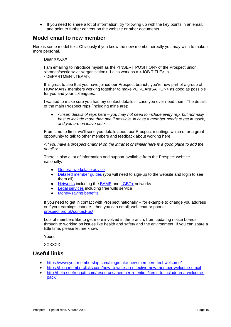● If you need to share a lot of information, try following up with the key points in an email, and point to further content on the website or other documents.

# <span id="page-9-0"></span>**Model email to new member**

Here is some model text. Obviously if you know the new member directly you may wish to make it more personal.

Dear XXXXX

I am emailing to introduce myself as the <INSERT POSITION> of the Prospect union <branch/section> at <organisation>. I also work as a <JOB TITLE> in <DEPARTMENT/TEAM>.

It is great to see that you have joined our Prospect branch, you're now part of a group of HOW MANY members working together to make <ORGANISATION> as good as possible for you and your colleagues.

I wanted to make sure you had my contact details in case you ever need them. The details of the main Prospect reps (including mine are):

● *<Insert details of reps here – you may not need to include every rep, but normally best to include more than one if possible, in case a member needs to get in touch, and you are on leave etc>*

From time to time, we'll send you details about our Prospect meetings which offer a great opportunity to talk to other members and feedback about working here.

*<If you have a prospect channel on the intranet or similar here is a good place to add the details>*

There is also a lot of information and support available from the Prospect website nationally.

- [General workplace advice](https://prospect.org.uk/get-support/)
- [Detailed member guides](https://members.prospect.org.uk/resources/guides-factcards/members-guides) (you will need to sign-up to the website and login to see them all)
- [Networks](https://prospect.org.uk/get-involved/causes-you-can-get-involved-in/) including the **BAME** and [LGBT+](https://prospect.org.uk/get-involved/lgbt/) networks
- [Legal services](https://prospect.org.uk/member-benefits-legal-fees/) including free wills service
- [Money-saving benefits](https://prospect.org.uk/member-benefits-money/)

If you need to get in contact with Prospect nationally – for example to change you address or if your earnings change - then you can email, web chat or phone: [prospect.org.uk/contact-us/](https://prospect.org.uk/contact-us/)

Lots of members like to get more involved in the branch, from updating notice boards through to working on issues like health and safety and the environment. If you can spare a little time, please let me know.

Yours

**XXXXXX** 

# <span id="page-9-1"></span>**Useful links**

- <https://www.yourmembership.com/blog/make-new-members-feel-welcome/>
- <https://blog.memberclicks.com/how-to-write-an-effective-new-member-welcome-email>
- [http://beta.suefroggatt.com/resources/member-retention/items-to-include-in-a-welcome](http://beta.suefroggatt.com/resources/member-retention/items-to-include-in-a-welcome-pack/)[pack/](http://beta.suefroggatt.com/resources/member-retention/items-to-include-in-a-welcome-pack/)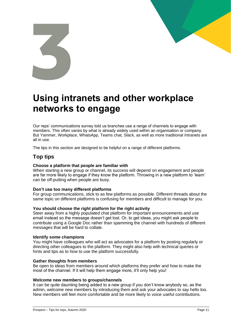# <span id="page-10-0"></span>**Using intranets and other workplace networks to engage**

Our reps' communications survey told us branches use a range of channels to engage with members. This often varies by what is already widely used within an organisation or company. But Yammer, Workplace, WhatsApp, Teams chat, Slack, as well as more traditional Intranets are all in use.

The tips in this section are designed to be helpful on a range of different platforms.

# <span id="page-10-1"></span>**Top tips**

#### **Choose a platform that people are familiar with**

When starting a new group or channel, its success will depend on engagement and people are far more likely to engage if they know the platform. Throwing in a new platform to 'learn' can be off-putting when people are busy.

#### **Don't use too many different platforms**

For group communications, stick to as few platforms as possible. Different threads about the same topic on different platforms is confusing for members and difficult to manage for you.

#### **You should choose the right platform for the right activity**

Steer away from a highly populated chat platform for important announcements and use email instead so the message doesn't get lost. Or, to get ideas, you might ask people to contribute using a Google Doc rather than spamming the channel with hundreds of different messages that will be hard to collate.

#### **Identify some champions**

You might have colleagues who will act as advocates for a platform by posting regularly or directing other colleagues to the platform. They might also help with technical queries or hints and tips as to how to use the platform successfully.

#### **Gather thoughts from members**

Be open to ideas from members around which platforms they prefer and how to make the most of the channel. If it will help them engage more, it'll only help you!

#### **Welcome new members to groups/channels**

It can be quite daunting being added to a new group if you don't know anybody so, as the admin, welcome new members by introducing them and ask your advocates to say hello too. New members will feel more comfortable and be more likely to voice useful contributions.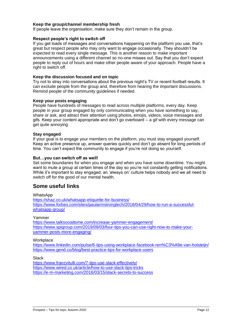#### **Keep the group/channel membership fresh**

If people leave the organisation, make sure they don't remain in the group.

#### **Respect people's right to switch off**

If you get loads of messages and conversations happening on the platform you use, that's great but respect people who may only want to engage occasionally. They shouldn't be expected to read every single message. This is another reason to make important announcements using a different channel so no-one misses out. Say that you don't expect people to reply out of hours and make other people aware of your approach. People have a right to switch off.

#### **Keep the discussion focused and on topic**

Try not to stray into conversations about the previous night's TV or recent football results. It can exclude people from the group and, therefore from hearing the important discussions. Remind people of the community guidelines if needed.

#### **Keep your posts engaging**

People have hundreds of messages to read across multiple platforms, every day. Keep people in your group engaged by only communicating when you have something to say, share or ask, and attract their attention using photos, emojis, videos, voice messages and gifs. Keep your content appropriate and don't go overboard – a gif with every message can get quite annoying

#### **Stay engaged**

If your goal is to engage your members on the platform, you must stay engaged yourself. Keep an active presence up, answer queries quickly and don't go absent for long periods of time. You can't expect the community to engage if you're not doing so yourself.

#### **But…you can switch off as well!**

Set some boundaries for when you engage and when you have some downtime. You might want to mute a group at certain times of the day so you're not constantly getting notifications. While it's important to stay engaged, an 'always on' culture helps nobody and we all need to switch off for the good of our mental health.

## <span id="page-11-0"></span>**Some useful links**

**WhatsApp** <https://shaz.co.uk/whatsapp-etiquette-for-business/> [https://www.forbes.com/sites/paularmstrongtech/2018/04/29/how-to-run-a-successful](https://www.forbes.com/sites/paularmstrongtech/2018/04/29/how-to-run-a-successful-whatsapp-group/)[whatsapp-group/](https://www.forbes.com/sites/paularmstrongtech/2018/04/29/how-to-run-a-successful-whatsapp-group/)

#### Yammer

<https://www.talksocialtome.com/increase-yammer-engagement/> [https://www.spigroup.com/2019/09/03/four-tips-you-can-use-right-now-to-make-your](https://www.spigroup.com/2019/09/03/four-tips-you-can-use-right-now-to-make-your-yammer-posts-more-engaging/)[yammer-posts-more-engaging/](https://www.spigroup.com/2019/09/03/four-tips-you-can-use-right-now-to-make-your-yammer-posts-more-engaging/)

#### **Workplace**

<https://www.linkedin.com/pulse/6-tips-using-workplace-facebook-ren%C3%A9e-van-holsteijn/> <https://www.gend.co/blog/best-practice-tips-for-workplace-users>

**Slack** 

<https://www.franzvitulli.com/7-tips-use-slack-effectively/> <https://www.wired.co.uk/article/how-to-use-slack-tips-tricks> <https://e-m-marketing.com/2016/03/15/slack-secrets-to-success>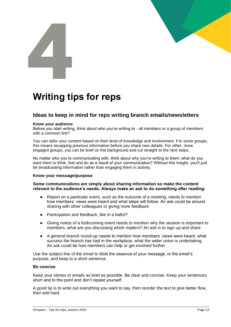# <span id="page-12-0"></span>**Writing tips for reps**

# <span id="page-12-1"></span>**Ideas to keep in mind for reps writing branch emails/newsletters**

#### **Know your audience**

Before you start writing, think about who you're writing to - all members or a group of members with a common link?

You can tailor your content based on their level of knowledge and involvement. For some groups, this means recapping previous information before you share new details. For other, more engaged groups, you can be brief on the background and cut straight to the next steps.

No matter who you're communicating with, think about why you're writing to them: what do you want them to think, feel and do as a result of your communication? Without this insight, you'll just be broadcasting information rather than engaging them in activity.

#### **Know your message/purpose**

#### **Some communications are simply about sharing information so make the content relevant to the audience's needs. Always make an ask to do something after reading:**

- Report on a particular event, such as the outcome of a meeting, needs to mention how members' views were heard and what steps will follow. An ask could be around sharing with other colleagues or giving more feedback
- Participation and feedback, like in a ballot?
- Giving notice of a forthcoming event needs to mention why the session is important to members, what are you discussing which matters? An ask is to sign up and share
- A general branch round-up needs to mention how members' views were heard, what success the branch has had in the workplace, what the wider union is undertaking. An ask could be how members can help or get involved further.

Use the subject line of the email to distil the essence of your message, or the email's purpose, and keep to a short sentence.

#### **Be concise**

Keep your stories or emails as brief as possible. Be clear and concise. Keep your sentences short and to the point and don't repeat yourself.

A good tip is to write out everything you want to say, then reorder the text to give better flow, then edit hard.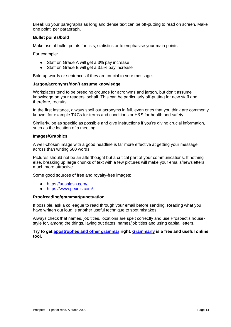Break up your paragraphs as long and dense text can be off-putting to read on screen. Make one point, per paragraph.

#### **Bullet points/bold**

Make use of bullet points for lists, statistics or to emphasise your main points.

For example:

- Staff on Grade A will get a 3% pay increase
- Staff on Grade B will get a 3.5% pay increase

Bold up words or sentences if they are crucial to your message.

#### **Jargon/acronyms/don't assume knowledge**

Workplaces tend to be breeding grounds for acronyms and jargon, but don't assume knowledge on your readers' behalf. This can be particularly off-putting for new staff and, therefore, recruits.

In the first instance, always spell out acronyms in full, even ones that you think are commonly known, for example T&Cs for terms and conditions or H&S for health and safety.

Similarly, be as specific as possible and give instructions if you're giving crucial information, such as the location of a meeting.

#### **Images/Graphics**

A well-chosen image with a good headline is far more effective at getting your message across than writing 500 words.

Pictures should not be an afterthought but a critical part of your communications. If nothing else, breaking up large chunks of text with a few pictures will make your emails/newsletters much more attractive.

Some good sources of free and royalty-free images:

- <https://unsplash.com/>
- <https://www.pexels.com/>

#### **Proofreading/grammar/punctuation**

If possible, ask a colleague to read through your email before sending. Reading what you have written out loud is another useful technique to spot mistakes.

Always check that names, job titles, locations are spelt correctly and use Prospect's housestyle for, among the things, laying out dates, names/job titles and using capital letters.

**Try to get [apostrophes](https://www.thepunctuationguide.com/apostrophe.html) and other grammar right. [Grammarly](https://www.grammarly.com/) is a free and useful online tool.**